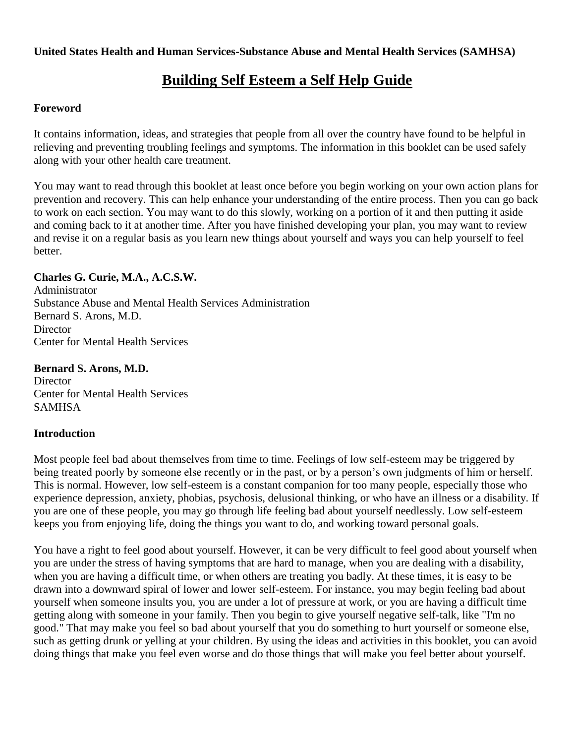**United States Health and Human Services-Substance Abuse and Mental Health Services (SAMHSA)**

# **Building Self Esteem a Self Help Guide**

# **Foreword**

It contains information, ideas, and strategies that people from all over the country have found to be helpful in relieving and preventing troubling feelings and symptoms. The information in this booklet can be used safely along with your other health care treatment.

You may want to read through this booklet at least once before you begin working on your own action plans for prevention and recovery. This can help enhance your understanding of the entire process. Then you can go back to work on each section. You may want to do this slowly, working on a portion of it and then putting it aside and coming back to it at another time. After you have finished developing your plan, you may want to review and revise it on a regular basis as you learn new things about yourself and ways you can help yourself to feel better.

# **Charles G. Curie, M.A., A.C.S.W.**

Administrator Substance Abuse and Mental Health Services Administration Bernard S. Arons, M.D. **Director** Center for Mental Health Services

# **Bernard S. Arons, M.D. Director**

Center for Mental Health Services SAMHSA

# **Introduction**

Most people feel bad about themselves from time to time. Feelings of low self-esteem may be triggered by being treated poorly by someone else recently or in the past, or by a person's own judgments of him or herself. This is normal. However, low self-esteem is a constant companion for too many people, especially those who experience depression, anxiety, phobias, psychosis, delusional thinking, or who have an illness or a disability. If you are one of these people, you may go through life feeling bad about yourself needlessly. Low self-esteem keeps you from enjoying life, doing the things you want to do, and working toward personal goals.

You have a right to feel good about yourself. However, it can be very difficult to feel good about yourself when you are under the stress of having symptoms that are hard to manage, when you are dealing with a disability, when you are having a difficult time, or when others are treating you badly. At these times, it is easy to be drawn into a downward spiral of lower and lower self-esteem. For instance, you may begin feeling bad about yourself when someone insults you, you are under a lot of pressure at work, or you are having a difficult time getting along with someone in your family. Then you begin to give yourself negative self-talk, like "I'm no good." That may make you feel so bad about yourself that you do something to hurt yourself or someone else, such as getting drunk or yelling at your children. By using the ideas and activities in this booklet, you can avoid doing things that make you feel even worse and do those things that will make you feel better about yourself.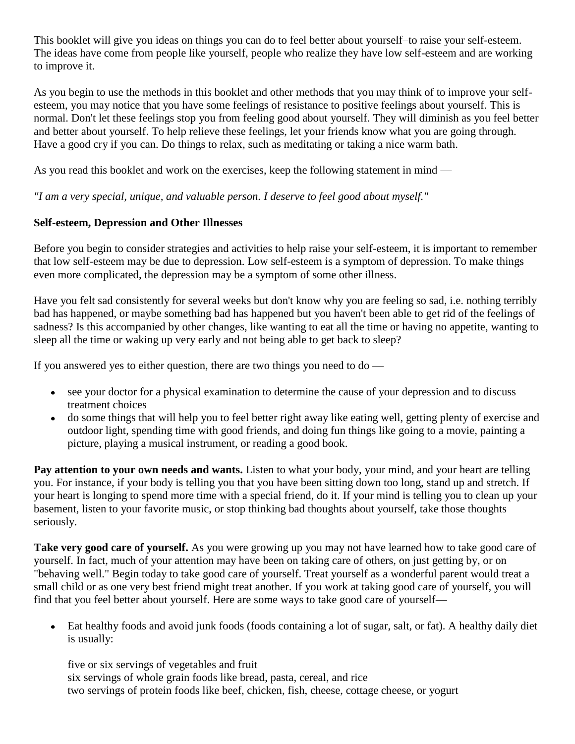This booklet will give you ideas on things you can do to feel better about yourself–to raise your self-esteem. The ideas have come from people like yourself, people who realize they have low self-esteem and are working to improve it.

As you begin to use the methods in this booklet and other methods that you may think of to improve your selfesteem, you may notice that you have some feelings of resistance to positive feelings about yourself. This is normal. Don't let these feelings stop you from feeling good about yourself. They will diminish as you feel better and better about yourself. To help relieve these feelings, let your friends know what you are going through. Have a good cry if you can. Do things to relax, such as meditating or taking a nice warm bath.

As you read this booklet and work on the exercises, keep the following statement in mind —

*"I am a very special, unique, and valuable person. I deserve to feel good about myself."*

# **Self-esteem, Depression and Other Illnesses**

Before you begin to consider strategies and activities to help raise your self-esteem, it is important to remember that low self-esteem may be due to depression. Low self-esteem is a symptom of depression. To make things even more complicated, the depression may be a symptom of some other illness.

Have you felt sad consistently for several weeks but don't know why you are feeling so sad, i.e. nothing terribly bad has happened, or maybe something bad has happened but you haven't been able to get rid of the feelings of sadness? Is this accompanied by other changes, like wanting to eat all the time or having no appetite, wanting to sleep all the time or waking up very early and not being able to get back to sleep?

If you answered yes to either question, there are two things you need to do —

- see your doctor for a physical examination to determine the cause of your depression and to discuss treatment choices
- do some things that will help you to feel better right away like eating well, getting plenty of exercise and outdoor light, spending time with good friends, and doing fun things like going to a movie, painting a picture, playing a musical instrument, or reading a good book.

**Pay attention to your own needs and wants.** Listen to what your body, your mind, and your heart are telling you. For instance, if your body is telling you that you have been sitting down too long, stand up and stretch. If your heart is longing to spend more time with a special friend, do it. If your mind is telling you to clean up your basement, listen to your favorite music, or stop thinking bad thoughts about yourself, take those thoughts seriously.

**Take very good care of yourself.** As you were growing up you may not have learned how to take good care of yourself. In fact, much of your attention may have been on taking care of others, on just getting by, or on "behaving well." Begin today to take good care of yourself. Treat yourself as a wonderful parent would treat a small child or as one very best friend might treat another. If you work at taking good care of yourself, you will find that you feel better about yourself. Here are some ways to take good care of yourself—

Eat healthy foods and avoid junk foods (foods containing a lot of sugar, salt, or fat). A healthy daily diet is usually:

five or six servings of vegetables and fruit six servings of whole grain foods like bread, pasta, cereal, and rice two servings of protein foods like beef, chicken, fish, cheese, cottage cheese, or yogurt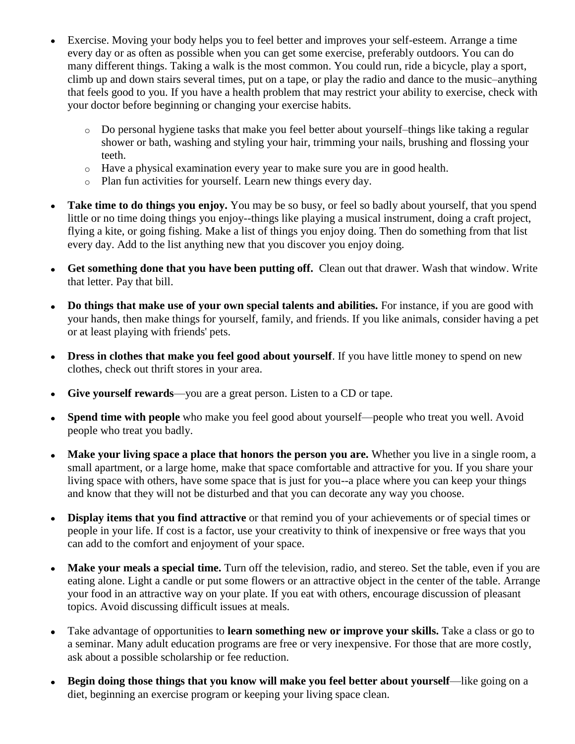- Exercise. Moving your body helps you to feel better and improves your self-esteem. Arrange a time every day or as often as possible when you can get some exercise, preferably outdoors. You can do many different things. Taking a walk is the most common. You could run, ride a bicycle, play a sport, climb up and down stairs several times, put on a tape, or play the radio and dance to the music–anything that feels good to you. If you have a health problem that may restrict your ability to exercise, check with your doctor before beginning or changing your exercise habits.
	- o Do personal hygiene tasks that make you feel better about yourself–things like taking a regular shower or bath, washing and styling your hair, trimming your nails, brushing and flossing your teeth.
	- o Have a physical examination every year to make sure you are in good health.
	- o Plan fun activities for yourself. Learn new things every day.
- **Take time to do things you enjoy.** You may be so busy, or feel so badly about yourself, that you spend little or no time doing things you enjoy--things like playing a musical instrument, doing a craft project, flying a kite, or going fishing. Make a list of things you enjoy doing. Then do something from that list every day. Add to the list anything new that you discover you enjoy doing.
- **Get something done that you have been putting off.** Clean out that drawer. Wash that window. Write that letter. Pay that bill.
- **Do things that make use of your own special talents and abilities.** For instance, if you are good with your hands, then make things for yourself, family, and friends. If you like animals, consider having a pet or at least playing with friends' pets.
- **Dress in clothes that make you feel good about yourself**. If you have little money to spend on new  $\bullet$ clothes, check out thrift stores in your area.
- **Give yourself rewards**—you are a great person. Listen to a CD or tape.
- **Spend time with people** who make you feel good about yourself—people who treat you well. Avoid people who treat you badly.
- **Make your living space a place that honors the person you are.** Whether you live in a single room, a small apartment, or a large home, make that space comfortable and attractive for you. If you share your living space with others, have some space that is just for you--a place where you can keep your things and know that they will not be disturbed and that you can decorate any way you choose.
- **Display items that you find attractive** or that remind you of your achievements or of special times or people in your life. If cost is a factor, use your creativity to think of inexpensive or free ways that you can add to the comfort and enjoyment of your space.
- **Make your meals a special time.** Turn off the television, radio, and stereo. Set the table, even if you are eating alone. Light a candle or put some flowers or an attractive object in the center of the table. Arrange your food in an attractive way on your plate. If you eat with others, encourage discussion of pleasant topics. Avoid discussing difficult issues at meals.
- Take advantage of opportunities to **learn something new or improve your skills.** Take a class or go to  $\bullet$ a seminar. Many adult education programs are free or very inexpensive. For those that are more costly, ask about a possible scholarship or fee reduction.
- **Begin doing those things that you know will make you feel better about yourself**—like going on a diet, beginning an exercise program or keeping your living space clean.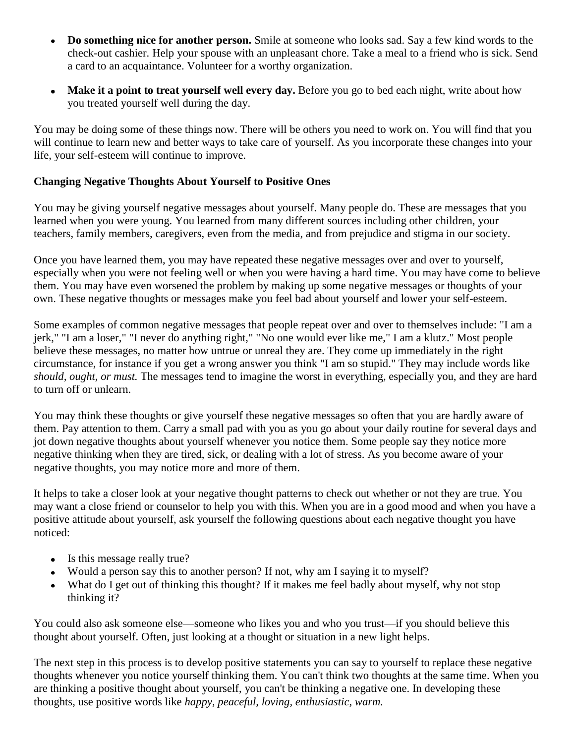- **Do something nice for another person.** Smile at someone who looks sad. Say a few kind words to the  $\bullet$ check-out cashier. Help your spouse with an unpleasant chore. Take a meal to a friend who is sick. Send a card to an acquaintance. Volunteer for a worthy organization.
- **Make it a point to treat yourself well every day.** Before you go to bed each night, write about how you treated yourself well during the day.

You may be doing some of these things now. There will be others you need to work on. You will find that you will continue to learn new and better ways to take care of yourself. As you incorporate these changes into your life, your self-esteem will continue to improve.

# **Changing Negative Thoughts About Yourself to Positive Ones**

You may be giving yourself negative messages about yourself. Many people do. These are messages that you learned when you were young. You learned from many different sources including other children, your teachers, family members, caregivers, even from the media, and from prejudice and stigma in our society.

Once you have learned them, you may have repeated these negative messages over and over to yourself, especially when you were not feeling well or when you were having a hard time. You may have come to believe them. You may have even worsened the problem by making up some negative messages or thoughts of your own. These negative thoughts or messages make you feel bad about yourself and lower your self-esteem.

Some examples of common negative messages that people repeat over and over to themselves include: "I am a jerk," "I am a loser," "I never do anything right," "No one would ever like me," I am a klutz." Most people believe these messages, no matter how untrue or unreal they are. They come up immediately in the right circumstance, for instance if you get a wrong answer you think "I am so stupid." They may include words like *should, ought, or must.* The messages tend to imagine the worst in everything, especially you, and they are hard to turn off or unlearn.

You may think these thoughts or give yourself these negative messages so often that you are hardly aware of them. Pay attention to them. Carry a small pad with you as you go about your daily routine for several days and jot down negative thoughts about yourself whenever you notice them. Some people say they notice more negative thinking when they are tired, sick, or dealing with a lot of stress. As you become aware of your negative thoughts, you may notice more and more of them.

It helps to take a closer look at your negative thought patterns to check out whether or not they are true. You may want a close friend or counselor to help you with this. When you are in a good mood and when you have a positive attitude about yourself, ask yourself the following questions about each negative thought you have noticed:

- Is this message really true?
- Would a person say this to another person? If not, why am I saying it to myself?
- What do I get out of thinking this thought? If it makes me feel badly about myself, why not stop thinking it?

You could also ask someone else—someone who likes you and who you trust—if you should believe this thought about yourself. Often, just looking at a thought or situation in a new light helps.

The next step in this process is to develop positive statements you can say to yourself to replace these negative thoughts whenever you notice yourself thinking them. You can't think two thoughts at the same time. When you are thinking a positive thought about yourself, you can't be thinking a negative one. In developing these thoughts, use positive words like *happy, peaceful, loving, enthusiastic, warm.*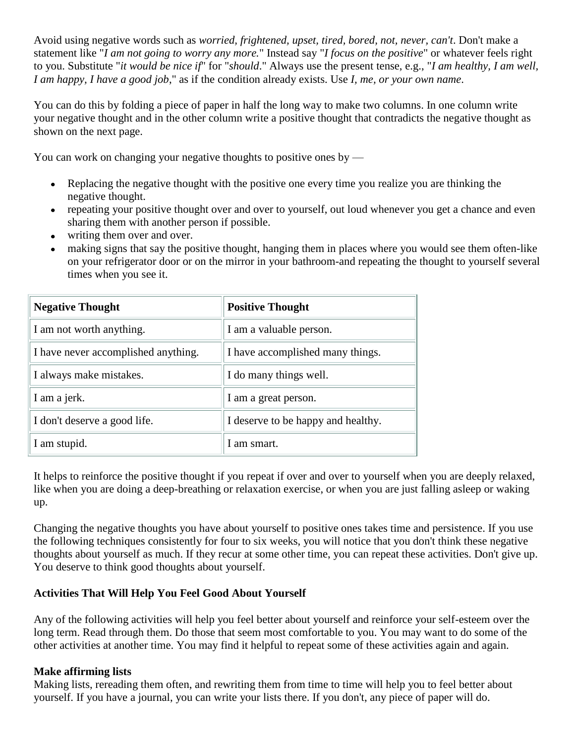Avoid using negative words such as *worried, frightened, upset, tired, bored, not, never, can't*. Don't make a statement like "*I am not going to worry any more.*" Instead say "*I focus on the positive*" or whatever feels right to you. Substitute "*it would be nice if*" for "*should*." Always use the present tense, e.g., "*I am healthy, I am well, I am happy, I have a good job*," as if the condition already exists. Use *I, me, or your own name*.

You can do this by folding a piece of paper in half the long way to make two columns. In one column write your negative thought and in the other column write a positive thought that contradicts the negative thought as shown on the next page.

You can work on changing your negative thoughts to positive ones by  $-$ 

- Replacing the negative thought with the positive one every time you realize you are thinking the negative thought.
- repeating your positive thought over and over to yourself, out loud whenever you get a chance and even  $\bullet$ sharing them with another person if possible.
- writing them over and over.
- making signs that say the positive thought, hanging them in places where you would see them often-like on your refrigerator door or on the mirror in your bathroom-and repeating the thought to yourself several times when you see it.

| <b>Negative Thought</b>             | <b>Positive Thought</b>            |
|-------------------------------------|------------------------------------|
| I am not worth anything.            | I am a valuable person.            |
| I have never accomplished anything. | I have accomplished many things.   |
| I always make mistakes.             | I do many things well.             |
| I am a jerk.                        | I am a great person.               |
| I don't deserve a good life.        | I deserve to be happy and healthy. |
| I am stupid.                        | I am smart.                        |

It helps to reinforce the positive thought if you repeat if over and over to yourself when you are deeply relaxed, like when you are doing a deep-breathing or relaxation exercise, or when you are just falling asleep or waking up.

Changing the negative thoughts you have about yourself to positive ones takes time and persistence. If you use the following techniques consistently for four to six weeks, you will notice that you don't think these negative thoughts about yourself as much. If they recur at some other time, you can repeat these activities. Don't give up. You deserve to think good thoughts about yourself.

# **Activities That Will Help You Feel Good About Yourself**

Any of the following activities will help you feel better about yourself and reinforce your self-esteem over the long term. Read through them. Do those that seem most comfortable to you. You may want to do some of the other activities at another time. You may find it helpful to repeat some of these activities again and again.

### **Make affirming lists**

Making lists, rereading them often, and rewriting them from time to time will help you to feel better about yourself. If you have a journal, you can write your lists there. If you don't, any piece of paper will do.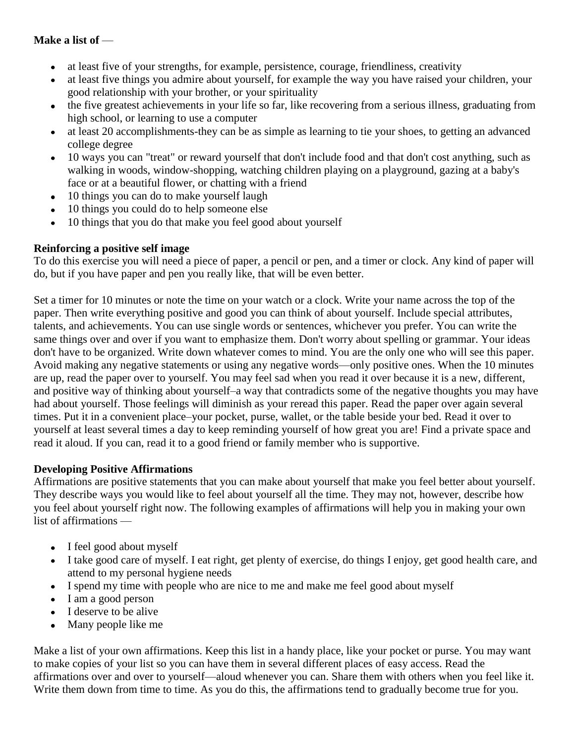# **Make a list of** —

- at least five of your strengths, for example, persistence, courage, friendliness, creativity
- at least five things you admire about yourself, for example the way you have raised your children, your good relationship with your brother, or your spirituality
- the five greatest achievements in your life so far, like recovering from a serious illness, graduating from  $\bullet$ high school, or learning to use a computer
- at least 20 accomplishments-they can be as simple as learning to tie your shoes, to getting an advanced college degree
- 10 ways you can "treat" or reward yourself that don't include food and that don't cost anything, such as walking in woods, window-shopping, watching children playing on a playground, gazing at a baby's face or at a beautiful flower, or chatting with a friend
- 10 things you can do to make yourself laugh  $\bullet$
- 10 things you could do to help someone else
- 10 things that you do that make you feel good about yourself

### **Reinforcing a positive self image**

To do this exercise you will need a piece of paper, a pencil or pen, and a timer or clock. Any kind of paper will do, but if you have paper and pen you really like, that will be even better.

Set a timer for 10 minutes or note the time on your watch or a clock. Write your name across the top of the paper. Then write everything positive and good you can think of about yourself. Include special attributes, talents, and achievements. You can use single words or sentences, whichever you prefer. You can write the same things over and over if you want to emphasize them. Don't worry about spelling or grammar. Your ideas don't have to be organized. Write down whatever comes to mind. You are the only one who will see this paper. Avoid making any negative statements or using any negative words—only positive ones. When the 10 minutes are up, read the paper over to yourself. You may feel sad when you read it over because it is a new, different, and positive way of thinking about yourself–a way that contradicts some of the negative thoughts you may have had about yourself. Those feelings will diminish as your reread this paper. Read the paper over again several times. Put it in a convenient place–your pocket, purse, wallet, or the table beside your bed. Read it over to yourself at least several times a day to keep reminding yourself of how great you are! Find a private space and read it aloud. If you can, read it to a good friend or family member who is supportive.

### **Developing Positive Affirmations**

Affirmations are positive statements that you can make about yourself that make you feel better about yourself. They describe ways you would like to feel about yourself all the time. They may not, however, describe how you feel about yourself right now. The following examples of affirmations will help you in making your own list of affirmations —

- I feel good about myself
- I take good care of myself. I eat right, get plenty of exercise, do things I enjoy, get good health care, and attend to my personal hygiene needs
- I spend my time with people who are nice to me and make me feel good about myself
- I am a good person
- I deserve to be alive
- Many people like me

Make a list of your own affirmations. Keep this list in a handy place, like your pocket or purse. You may want to make copies of your list so you can have them in several different places of easy access. Read the affirmations over and over to yourself—aloud whenever you can. Share them with others when you feel like it. Write them down from time to time. As you do this, the affirmations tend to gradually become true for you.